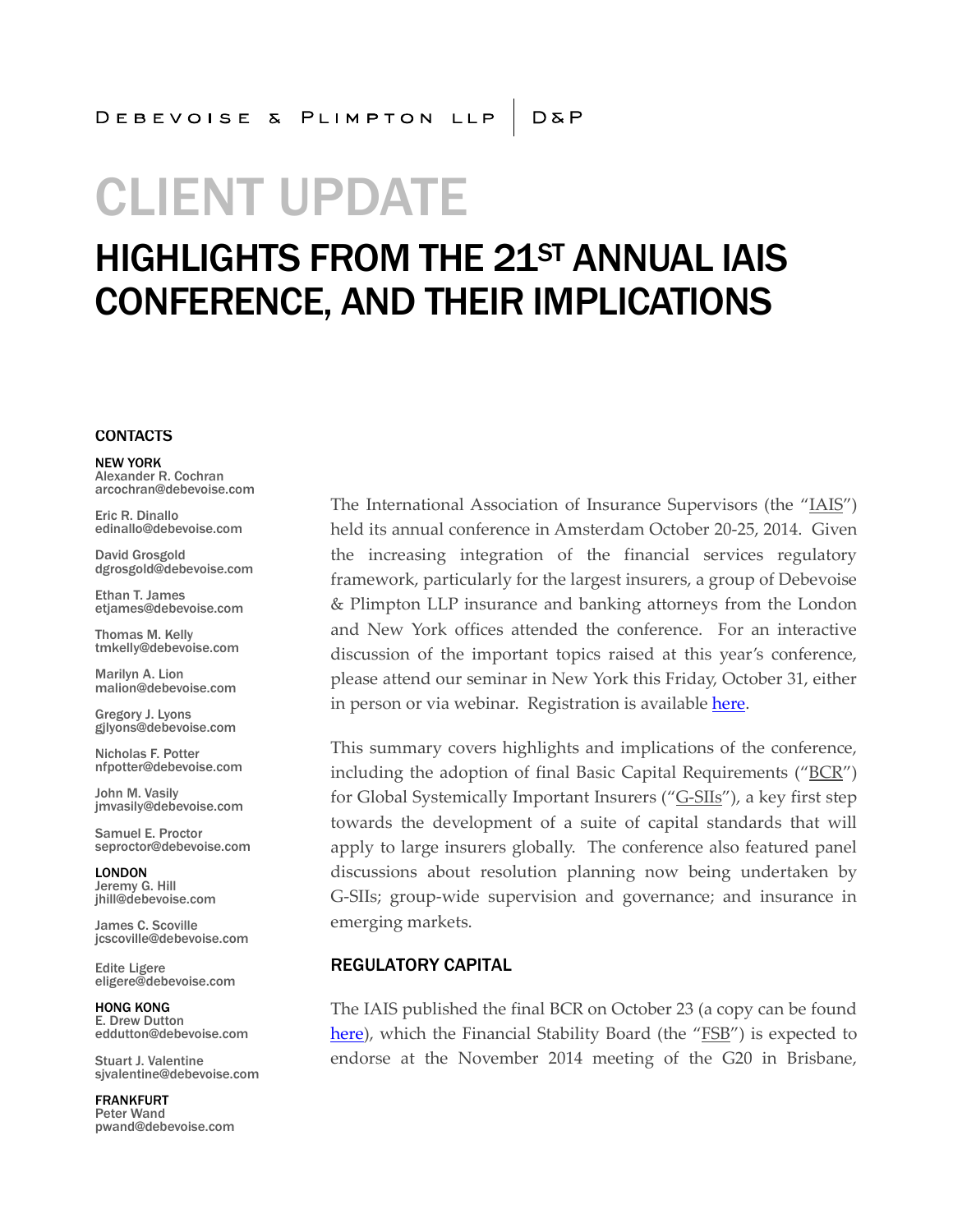# CLIENT UPDATE

## HIGHLIGHTS FROM THE 21ST ANNUAL IAIS CONFERENCE, AND THEIR IMPLICATIONS

#### **CONTACTS**

NEW YORK Alexander R. Cochran arcochran@debevoise.com

Eric R. Dinallo edinallo@debevoise.com

David Grosgold dgrosgold@debevoise.com

Ethan T. James etjames@debevoise.com

Thomas M. Kelly tmkelly@debevoise.com

Marilyn A. Lion malion@debevoise.com

Gregory J. Lyons gjlyons@debevoise.com

Nicholas F. Potter nfpotter@debevoise.com

John M. Vasily jmvasily@debevoise.com

Samuel E. Proctor seproctor@debevoise.com

LONDON Jeremy G. Hill jhill@debevoise.com

James C. Scoville jcscoville@debevoise.com

Edite Ligere eligere@debevoise.com

HONG KONG E. Drew Dutton eddutton@debevoise.com

Stuart J. Valentine sjvalentine@debevoise.com

FRANKFURT Peter Wand pwand@debevoise.com The International Association of Insurance Supervisors (the "IAIS") held its annual conference in Amsterdam October 20-25, 2014. Given the increasing integration of the financial services regulatory framework, particularly for the largest insurers, a group of Debevoise & Plimpton LLP insurance and banking attorneys from the London and New York offices attended the conference. For an interactive discussion of the important topics raised at this year's conference, please attend our seminar in New York this Friday, October 31, either in person or via webinar. Registration is available [here.](http://www.debevoise.com/publications/10.31.14_Insurance_Seminar_NY.html)

This summary covers highlights and implications of the conference, including the adoption of final Basic Capital Requirements ("BCR") for Global Systemically Important Insurers ("G-SIIs"), a key first step towards the development of a suite of capital standards that will apply to large insurers globally. The conference also featured panel discussions about resolution planning now being undertaken by G-SIIs; group-wide supervision and governance; and insurance in emerging markets.

### REGULATORY CAPITAL

The IAIS published the final BCR on October 23 (a copy can be found [here](http://www.iaisweb.org/view/element_href.cfm?src=1/23745.pdf)), which the Financial Stability Board (the "FSB") is expected to endorse at the November 2014 meeting of the G20 in Brisbane,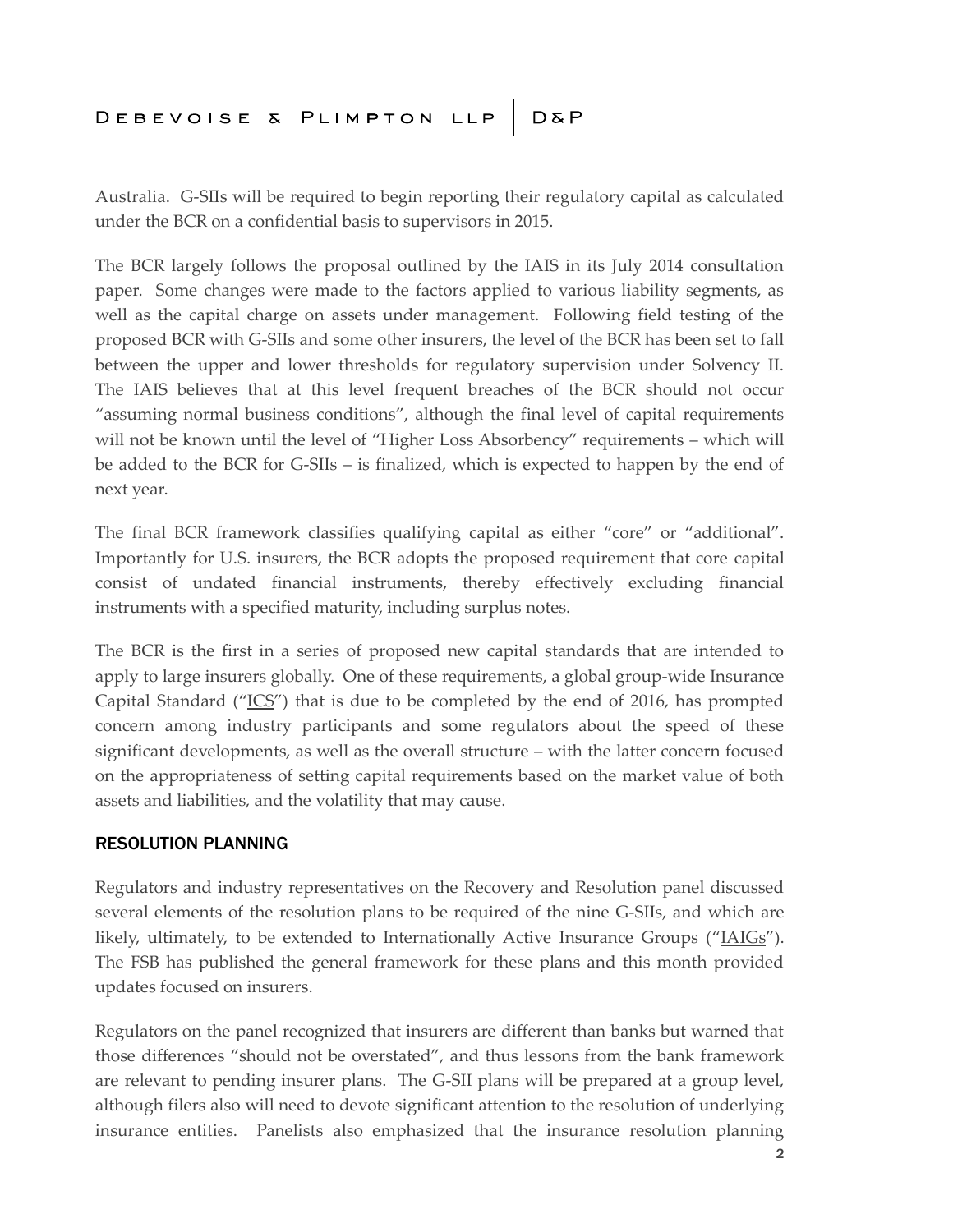### DEBEVOISE & PLIMPTON LLP D&P

Australia. G-SIIs will be required to begin reporting their regulatory capital as calculated under the BCR on a confidential basis to supervisors in 2015.

The BCR largely follows the proposal outlined by the IAIS in its July 2014 consultation paper. Some changes were made to the factors applied to various liability segments, as well as the capital charge on assets under management. Following field testing of the proposed BCR with G-SIIs and some other insurers, the level of the BCR has been set to fall between the upper and lower thresholds for regulatory supervision under Solvency II. The IAIS believes that at this level frequent breaches of the BCR should not occur "assuming normal business conditions", although the final level of capital requirements will not be known until the level of "Higher Loss Absorbency" requirements – which will be added to the BCR for G-SIIs – is finalized, which is expected to happen by the end of next year.

The final BCR framework classifies qualifying capital as either "core" or "additional". Importantly for U.S. insurers, the BCR adopts the proposed requirement that core capital consist of undated financial instruments, thereby effectively excluding financial instruments with a specified maturity, including surplus notes.

The BCR is the first in a series of proposed new capital standards that are intended to apply to large insurers globally. One of these requirements, a global group-wide Insurance Capital Standard (" $ICS$ ") that is due to be completed by the end of 2016, has prompted</u> concern among industry participants and some regulators about the speed of these significant developments, as well as the overall structure – with the latter concern focused on the appropriateness of setting capital requirements based on the market value of both assets and liabilities, and the volatility that may cause.

### RESOLUTION PLANNING

Regulators and industry representatives on the Recovery and Resolution panel discussed several elements of the resolution plans to be required of the nine G-SIIs, and which are likely, ultimately, to be extended to Internationally Active Insurance Groups  $("AAGs")$ . The FSB has published the general framework for these plans and this month provided updates focused on insurers.

Regulators on the panel recognized that insurers are different than banks but warned that those differences "should not be overstated", and thus lessons from the bank framework are relevant to pending insurer plans. The G-SII plans will be prepared at a group level, although filers also will need to devote significant attention to the resolution of underlying insurance entities. Panelists also emphasized that the insurance resolution planning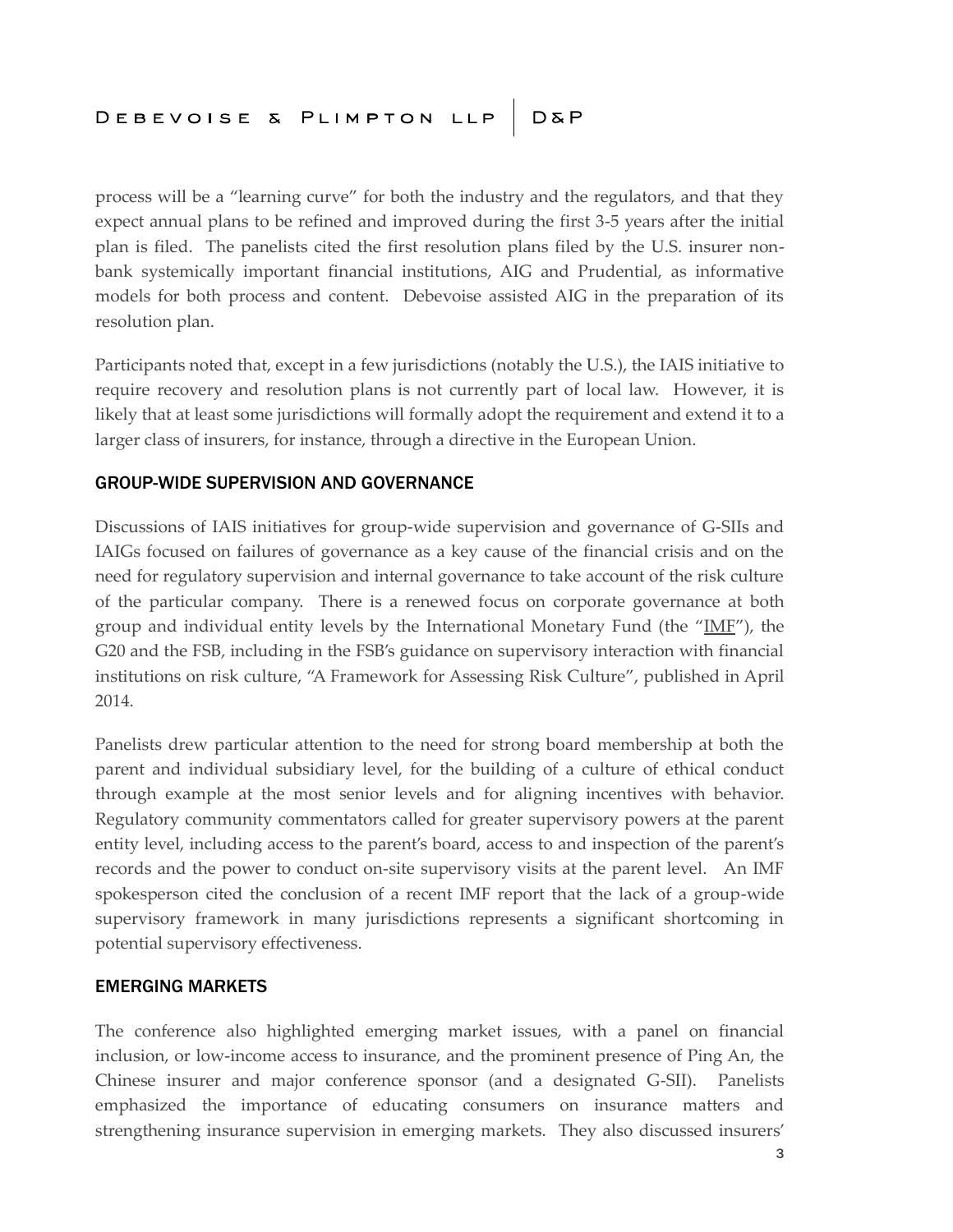process will be a "learning curve" for both the industry and the regulators, and that they expect annual plans to be refined and improved during the first 3-5 years after the initial plan is filed. The panelists cited the first resolution plans filed by the U.S. insurer nonbank systemically important financial institutions, AIG and Prudential, as informative models for both process and content. Debevoise assisted AIG in the preparation of its resolution plan.

Participants noted that, except in a few jurisdictions (notably the U.S.), the IAIS initiative to require recovery and resolution plans is not currently part of local law. However, it is likely that at least some jurisdictions will formally adopt the requirement and extend it to a larger class of insurers, for instance, through a directive in the European Union.

### GROUP-WIDE SUPERVISION AND GOVERNANCE

Discussions of IAIS initiatives for group-wide supervision and governance of G-SIIs and IAIGs focused on failures of governance as a key cause of the financial crisis and on the need for regulatory supervision and internal governance to take account of the risk culture of the particular company. There is a renewed focus on corporate governance at both group and individual entity levels by the International Monetary Fund (the " $IME"$ ), the G20 and the FSB, including in the FSB's guidance on supervisory interaction with financial institutions on risk culture, "A Framework for Assessing Risk Culture", published in April 2014.

Panelists drew particular attention to the need for strong board membership at both the parent and individual subsidiary level, for the building of a culture of ethical conduct through example at the most senior levels and for aligning incentives with behavior. Regulatory community commentators called for greater supervisory powers at the parent entity level, including access to the parent's board, access to and inspection of the parent's records and the power to conduct on-site supervisory visits at the parent level. An IMF spokesperson cited the conclusion of a recent IMF report that the lack of a group-wide supervisory framework in many jurisdictions represents a significant shortcoming in potential supervisory effectiveness.

### EMERGING MARKETS

The conference also highlighted emerging market issues, with a panel on financial inclusion, or low-income access to insurance, and the prominent presence of Ping An, the Chinese insurer and major conference sponsor (and a designated G-SII). Panelists emphasized the importance of educating consumers on insurance matters and strengthening insurance supervision in emerging markets. They also discussed insurers'